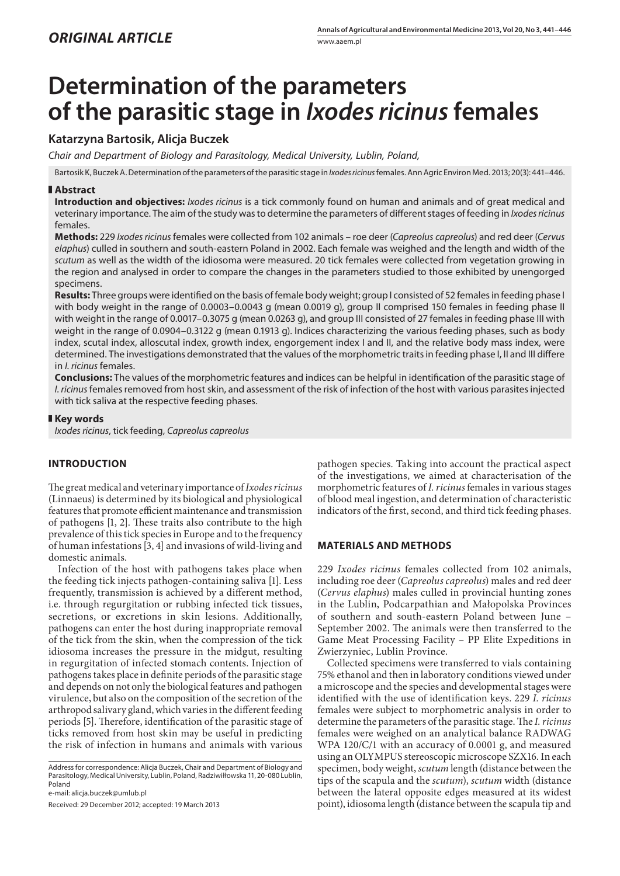# **Determination of the parameters of the parasitic stage in** *Ixodes ricinus* **females**

## **Katarzyna Bartosik, Alicja Buczek**

*Chair and Department of Biology and Parasitology, Medical University, Lublin, Poland,*

Bartosik K, Buczek A. Determination of the parameters of the parasitic stage in *Ixodes ricinus* females. Ann Agric Environ Med. 2013; 20(3): 441–446.

## **Abstract**

**Introduction and objectives:** *Ixodes ricinus* is a tick commonly found on human and animals and of great medical and veterinary importance. The aim of the study was to determine the parameters of different stages of feeding in *Ixodes ricinus* females.

**Methods:** 229 *Ixodes ricinus* females were collected from 102 animals – roe deer (*Capreolus capreolus*) and red deer (*Cervus elaphus*) culled in southern and south-eastern Poland in 2002. Each female was weighed and the length and width of the *scutum* as well as the width of the idiosoma were measured. 20 tick females were collected from vegetation growing in the region and analysed in order to compare the changes in the parameters studied to those exhibited by unengorged specimens.

**Results:** Three groups were identified on the basis of female body weight; group I consisted of 52 females in feeding phase I with body weight in the range of 0.0003–0.0043 g (mean 0.0019 g), group II comprised 150 females in feeding phase II with weight in the range of 0.0017–0.3075 g (mean 0.0263 g), and group III consisted of 27 females in feeding phase III with weight in the range of 0.0904–0.3122 g (mean 0.1913 g). Indices characterizing the various feeding phases, such as body index, scutal index, alloscutal index, growth index, engorgement index I and II, and the relative body mass index, were determined. The investigations demonstrated that the values of the morphometric traits in feeding phase I, II and III differe in *I. ricinus* females.

**Conclusions:** The values of the morphometric features and indices can be helpful in identification of the parasitic stage of *I. ricinus* females removed from host skin, and assessment of the risk of infection of the host with various parasites injected with tick saliva at the respective feeding phases.

### **Key words**

*Ixodes ricinus*, tick feeding, *Capreolus capreolus*

## **INTRODUCTION**

The great medical and veterinary importance of *Ixodes ricinus* (Linnaeus) is determined by its biological and physiological features that promote efficient maintenance and transmission of pathogens [1, 2]. These traits also contribute to the high prevalence of this tick species in Europe and to the frequency of human infestations [3, 4] and invasions of wild-living and domestic animals.

Infection of the host with pathogens takes place when the feeding tick injects pathogen-containing saliva [1]. Less frequently, transmission is achieved by a different method, i.e. through regurgitation or rubbing infected tick tissues, secretions, or excretions in skin lesions. Additionally, pathogens can enter the host during inappropriate removal of the tick from the skin, when the compression of the tick idiosoma increases the pressure in the midgut, resulting in regurgitation of infected stomach contents. Injection of pathogens takes place in definite periods of the parasitic stage and depends on not only the biological features and pathogen virulence, but also on the composition of the secretion of the arthropod salivary gland, which varies in the different feeding periods [5]. Therefore, identification of the parasitic stage of ticks removed from host skin may be useful in predicting the risk of infection in humans and animals with various

Address for correspondence: Alicja Buczek, Chair and Department of Biology and Parasitology, Medical University, Lublin, Poland, Radziwiłłowska 11, 20-080 Lublin, Poland

e-mail: alicja.buczek@umlub.pl

Received: 29 December 2012; accepted: 19 March 2013

pathogen species. Taking into account the practical aspect of the investigations, we aimed at characterisation of the morphometric features of *I. ricinus* females in various stages of blood meal ingestion, and determination of characteristic indicators of the first, second, and third tick feeding phases.

#### **MATERIALS AND METHODS**

229 *Ixodes ricinus* females collected from 102 animals, including roe deer (*Capreolus capreolus*) males and red deer (*Cervus elaphus*) males culled in provincial hunting zones in the Lublin, Podcarpathian and Małopolska Provinces of southern and south-eastern Poland between June – September 2002. The animals were then transferred to the Game Meat Processing Facility – PP Elite Expeditions in Zwierzyniec, Lublin Province.

Collected specimens were transferred to vials containing 75% ethanol and then in laboratory conditions viewed under a microscope and the species and developmental stages were identified with the use of identification keys. 229 *I. ricinus* females were subject to morphometric analysis in order to determine the parameters of the parasitic stage. The *I. ricinus* females were weighed on an analytical balance RADWAG WPA 120/C/1 with an accuracy of 0.0001 g, and measured using an OLYMPUS stereoscopic microscope SZX16. In each specimen, body weight, *scutum* length (distance between the tips of the scapula and the *scutum*), *scutum* width (distance between the lateral opposite edges measured at its widest point), idiosoma length (distance between the scapula tip and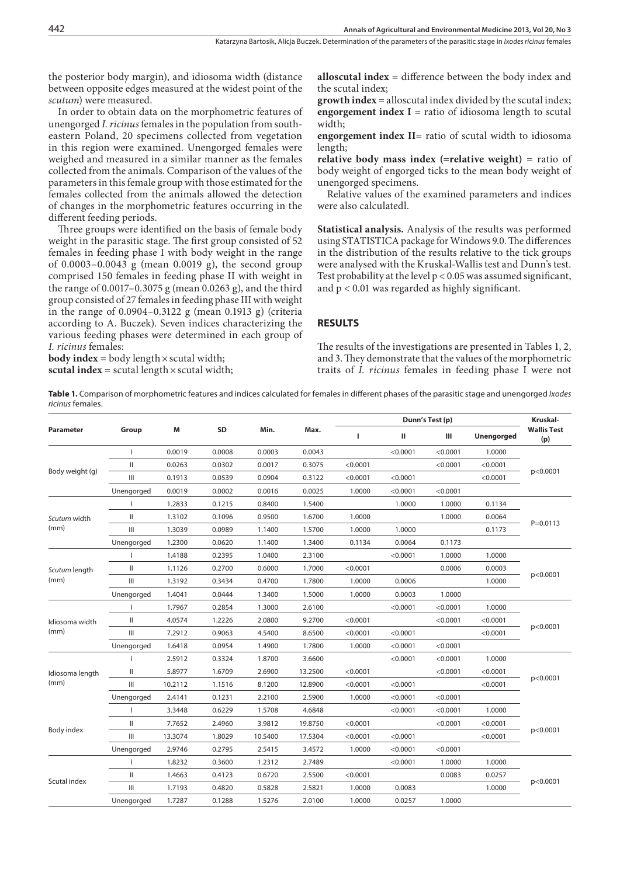the posterior body margin), and idiosoma width (distance between opposite edges measured at the widest point of the *scutum*) were measured.

In order to obtain data on the morphometric features of unengorged *I. ricinus* females in the population from southeastern Poland, 20 specimens collected from vegetation in this region were examined. Unengorged females were weighed and measured in a similar manner as the females collected from the animals. Comparison of the values of the parameters in this female group with those estimated for the females collected from the animals allowed the detection of changes in the morphometric features occurring in the different feeding periods.

Three groups were identified on the basis of female body weight in the parasitic stage. The first group consisted of 52 females in feeding phase I with body weight in the range of 0.0003–0.0043 g (mean 0.0019 g), the second group comprised 150 females in feeding phase II with weight in the range of 0.0017–0.3075 g (mean 0.0263 g), and the third group consisted of 27 females in feeding phase III with weight in the range of 0.0904–0.3122 g (mean 0.1913 g) (criteria according to A. Buczek). Seven indices characterizing the various feeding phases were determined in each group of *I. ricinus* females:

**body index** = body length  $\times$  scutal width; **scutal index** = scutal length  $\times$  scutal width; **alloscutal index** = difference between the body index and the scutal index;

**growth index** = alloscutal index divided by the scutal index; **engorgement index I** = ratio of idiosoma length to scutal width;

**engorgement index II**= ratio of scutal width to idiosoma length;

**relative body mass index (=relative weight)** = ratio of body weight of engorged ticks to the mean body weight of unengorged specimens.

Relative values of the examined parameters and indices were also calculatedl.

**Statistical analysis.** Analysis of the results was performed using STATISTICA package for Windows 9.0. The differences in the distribution of the results relative to the tick groups were analysed with the Kruskal-Wallis test and Dunn's test. Test probability at the level  $p < 0.05$  was assumed significant, and  $p < 0.01$  was regarded as highly significant.

## **RESULTS**

The results of the investigations are presented in Tables 1, 2, and 3. They demonstrate that the values of the morphometric traits of *I. ricinus* females in feeding phase I were not

**Table 1.** Comparison of morphometric features and indices calculated for females in different phases of the parasitic stage and unengorged *Ixodes ricinus* females.

| Parameter       | Group                              | М       | <b>SD</b> | Min.    | Max.    |          | Kruskal-     |          |                   |                           |
|-----------------|------------------------------------|---------|-----------|---------|---------|----------|--------------|----------|-------------------|---------------------------|
|                 |                                    |         |           |         |         | т        | $\mathbf{H}$ | Ш        | <b>Unengorged</b> | <b>Wallis Test</b><br>(p) |
| Body weight (g) |                                    | 0.0019  | 0.0008    | 0.0003  | 0.0043  |          | < 0.0001     | < 0.0001 | 1.0000            | p<0.0001                  |
|                 | $\mathsf{I}$                       | 0.0263  | 0.0302    | 0.0017  | 0.3075  | < 0.0001 |              | < 0.0001 | < 0.0001          |                           |
|                 | Ш                                  | 0.1913  | 0.0539    | 0.0904  | 0.3122  | < 0.0001 | < 0.0001     |          | < 0.0001          |                           |
|                 | Unengorged                         | 0.0019  | 0.0002    | 0.0016  | 0.0025  | 1.0000   | < 0.0001     | < 0.0001 |                   |                           |
|                 |                                    | 1.2833  | 0.1215    | 0.8400  | 1.5400  |          | 1.0000       | 1.0000   | 0.1134            |                           |
| Scutum width    | $\mathsf{I}$                       | 1.3102  | 0.1096    | 0.9500  | 1.6700  | 1.0000   |              | 1.0000   | 0.0064            |                           |
| (mm)            | Ш                                  | 1.3039  | 0.0989    | 1.1400  | 1.5700  | 1.0000   | 1.0000       |          | 0.1173            | $P = 0.0113$              |
|                 | Unengorged                         | 1.2300  | 0.0620    | 1.1400  | 1.3400  | 0.1134   | 0.0064       | 0.1173   |                   |                           |
|                 |                                    | 1.4188  | 0.2395    | 1.0400  | 2.3100  |          | < 0.0001     | 1.0000   | 1.0000            |                           |
| Scutum length   | $\mathsf{I}$                       | 1.1126  | 0.2700    | 0.6000  | 1.7000  | < 0.0001 |              | 0.0006   | 0.0003            |                           |
| (mm)            | $\ensuremath{\mathsf{III}}\xspace$ | 1.3192  | 0.3434    | 0.4700  | 1.7800  | 1.0000   | 0.0006       |          | 1.0000            | p<0.0001                  |
|                 | Unengorged                         | 1.4041  | 0.0444    | 1.3400  | 1.5000  | 1.0000   | 0.0003       | 1.0000   |                   |                           |
|                 |                                    | 1.7967  | 0.2854    | 1.3000  | 2.6100  |          | < 0.0001     | < 0.0001 | 1.0000            | p<0.0001                  |
| Idiosoma width  | Ш                                  | 4.0574  | 1.2226    | 2.0800  | 9.2700  | < 0.0001 |              | < 0.0001 | < 0.0001          |                           |
| (mm)            | Ш                                  | 7.2912  | 0.9063    | 4.5400  | 8.6500  | < 0.0001 | < 0.0001     |          | < 0.0001          |                           |
|                 | Unengorged                         | 1.6418  | 0.0954    | 1.4900  | 1.7800  | 1.0000   | < 0.0001     | < 0.0001 |                   |                           |
|                 |                                    | 2.5912  | 0.3324    | 1.8700  | 3.6600  |          | < 0.0001     | < 0.0001 | 1.0000            |                           |
| Idiosoma length | Ш                                  | 5.8977  | 1.6709    | 2.6900  | 13.2500 | < 0.0001 |              | < 0.0001 | < 0.0001          |                           |
| (mm)            | Ш                                  | 10.2112 | 1.1516    | 8.1200  | 12.8900 | < 0.0001 | < 0.0001     |          | < 0.0001          | p<0.0001                  |
|                 | Unengorged                         | 2.4141  | 0.1231    | 2.2100  | 2.5900  | 1.0000   | < 0.0001     | < 0.0001 |                   |                           |
|                 |                                    | 3.3448  | 0.6229    | 1.5708  | 4.6848  |          | < 0.0001     | < 0.0001 | 1.0000            |                           |
| Body index      | $\mathsf{I}$                       | 7.7652  | 2.4960    | 3.9812  | 19.8750 | < 0.0001 |              | < 0.0001 | < 0.0001          | p<0.0001                  |
|                 | Ш                                  | 13.3074 | 1.8029    | 10.5400 | 17.5304 | < 0.0001 | < 0.0001     |          | < 0.0001          |                           |
|                 | Unengorged                         | 2.9746  | 0.2795    | 2.5415  | 3.4572  | 1.0000   | < 0.0001     | < 0.0001 |                   |                           |
|                 |                                    | 1.8232  | 0.3600    | 1.2312  | 2.7489  |          | < 0.0001     | 1.0000   | 1.0000            |                           |
|                 | Ш                                  | 1.4663  | 0.4123    | 0.6720  | 2.5500  | < 0.0001 |              | 0.0083   | 0.0257            |                           |
| Scutal index    | $\ensuremath{\mathsf{III}}\xspace$ | 1.7193  | 0.4820    | 0.5828  | 2.5821  | 1.0000   | 0.0083       |          | 1.0000            | p<0.0001                  |
|                 | Unengorged                         | 1.7287  | 0.1288    | 1.5276  | 2.0100  | 1.0000   | 0.0257       | 1.0000   |                   |                           |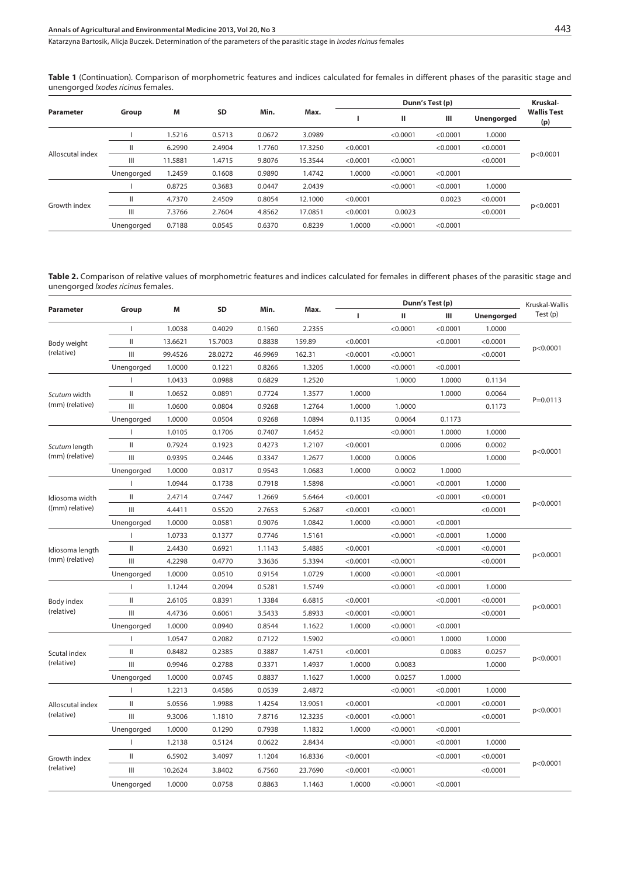**Table 1** (Continuation). Comparison of morphometric features and indices calculated for females in different phases of the parasitic stage and unengorged *Ixodes ricinus* females.

| Parameter        | Group      | M       | <b>SD</b> | Min.   | Max.    |          | Kruskal- |          |                   |                           |
|------------------|------------|---------|-----------|--------|---------|----------|----------|----------|-------------------|---------------------------|
|                  |            |         |           |        |         |          | Ш        | Ш        | <b>Unengorged</b> | <b>Wallis Test</b><br>(p) |
| Alloscutal index |            | 1.5216  | 0.5713    | 0.0672 | 3.0989  |          | < 0.0001 | < 0.0001 | 1.0000            | p<0.0001                  |
|                  |            | 6.2990  | 2.4904    | 1.7760 | 17.3250 | < 0.0001 |          | < 0.0001 | < 0.0001          |                           |
|                  | Ш          | 11.5881 | 1.4715    | 9.8076 | 15.3544 | < 0.0001 | < 0.0001 |          | < 0.0001          |                           |
|                  | Unengorged | 1.2459  | 0.1608    | 0.9890 | 1.4742  | 1.0000   | < 0.0001 | < 0.0001 |                   |                           |
| Growth index     |            | 0.8725  | 0.3683    | 0.0447 | 2.0439  |          | < 0.0001 | < 0.0001 | 1.0000            | p < 0.0001                |
|                  | II         | 4.7370  | 2.4509    | 0.8054 | 12.1000 | < 0.0001 |          | 0.0023   | < 0.0001          |                           |
|                  | Ш          | 7.3766  | 2.7604    | 4.8562 | 17.0851 | < 0.0001 | 0.0023   |          | < 0.0001          |                           |
|                  | Unengorged | 0.7188  | 0.0545    | 0.6370 | 0.8239  | 1.0000   | < 0.0001 | < 0.0001 |                   |                           |

Table 2. Comparison of relative values of morphometric features and indices calculated for females in different phases of the parasitic stage and unengorged *Ixodes ricinus* females.

| Parameter                         | Group         | M       | SD      | Min.    | Max.    |          | Kruskal-Wallis |          |                   |              |
|-----------------------------------|---------------|---------|---------|---------|---------|----------|----------------|----------|-------------------|--------------|
|                                   |               |         |         |         |         | г        | ш              | Ш        | <b>Unengorged</b> | Test(p)      |
| Body weight<br>(relative)         | $\mathbf{I}$  | 1.0038  | 0.4029  | 0.1560  | 2.2355  |          | < 0.0001       | < 0.0001 | 1.0000            | p<0.0001     |
|                                   | Ш             | 13.6621 | 15.7003 | 0.8838  | 159.89  | < 0.0001 |                | < 0.0001 | < 0.0001          |              |
|                                   | Ш             | 99.4526 | 28.0272 | 46.9969 | 162.31  | < 0.0001 | < 0.0001       |          | < 0.0001          |              |
|                                   | Unengorged    | 1.0000  | 0.1221  | 0.8266  | 1.3205  | 1.0000   | < 0.0001       | < 0.0001 |                   |              |
|                                   |               | 1.0433  | 0.0988  | 0.6829  | 1.2520  |          | 1.0000         | 1.0000   | 0.1134            |              |
| Scutum width                      | Ш             | 1.0652  | 0.0891  | 0.7724  | 1.3577  | 1.0000   |                | 1.0000   | 0.0064            |              |
| (mm) (relative)                   | Ш             | 1.0600  | 0.0804  | 0.9268  | 1.2764  | 1.0000   | 1.0000         |          | 0.1173            | $P = 0.0113$ |
|                                   | Unengorged    | 1.0000  | 0.0504  | 0.9268  | 1.0894  | 0.1135   | 0.0064         | 0.1173   |                   |              |
|                                   |               | 1.0105  | 0.1706  | 0.7407  | 1.6452  |          | < 0.0001       | 1.0000   | 1.0000            |              |
| Scutum length                     | Ш             | 0.7924  | 0.1923  | 0.4273  | 1.2107  | < 0.0001 |                | 0.0006   | 0.0002            |              |
| (mm) (relative)                   | Ш             | 0.9395  | 0.2446  | 0.3347  | 1.2677  | 1.0000   | 0.0006         |          | 1.0000            | p<0.0001     |
|                                   | Unengorged    | 1.0000  | 0.0317  | 0.9543  | 1.0683  | 1.0000   | 0.0002         | 1.0000   |                   |              |
|                                   | п             | 1.0944  | 0.1738  | 0.7918  | 1.5898  |          | < 0.0001       | < 0.0001 | 1.0000            |              |
| Idiosoma width<br>((mm) relative) | Ш             | 2.4714  | 0.7447  | 1.2669  | 5.6464  | < 0.0001 |                | < 0.0001 | < 0.0001          | p<0.0001     |
|                                   | III           | 4.4411  | 0.5520  | 2.7653  | 5.2687  | < 0.0001 | < 0.0001       |          | < 0.0001          |              |
|                                   | Unengorged    | 1.0000  | 0.0581  | 0.9076  | 1.0842  | 1.0000   | < 0.0001       | < 0.0001 |                   |              |
| Idiosoma length                   |               | 1.0733  | 0.1377  | 0.7746  | 1.5161  |          | < 0.0001       | < 0.0001 | 1.0000            | p<0.0001     |
|                                   | Ш             | 2.4430  | 0.6921  | 1.1143  | 5.4885  | < 0.0001 |                | < 0.0001 | < 0.0001          |              |
| (mm) (relative)                   | Ш             | 4.2298  | 0.4770  | 3.3636  | 5.3394  | < 0.0001 | < 0.0001       |          | < 0.0001          |              |
|                                   | Unengorged    | 1.0000  | 0.0510  | 0.9154  | 1.0729  | 1.0000   | < 0.0001       | < 0.0001 |                   |              |
|                                   | 1             | 1.1244  | 0.2094  | 0.5281  | 1.5749  |          | < 0.0001       | < 0.0001 | 1.0000            |              |
| Body index                        | Ш             | 2.6105  | 0.8391  | 1.3384  | 6.6815  | < 0.0001 |                | < 0.0001 | < 0.0001          |              |
| (relative)                        | III           | 4.4736  | 0.6061  | 3.5433  | 5.8933  | < 0.0001 | < 0.0001       |          | < 0.0001          | p<0.0001     |
|                                   | Unengorged    | 1.0000  | 0.0940  | 0.8544  | 1.1622  | 1.0000   | < 0.0001       | < 0.0001 |                   |              |
|                                   |               | 1.0547  | 0.2082  | 0.7122  | 1.5902  |          | < 0.0001       | 1.0000   | 1.0000            |              |
| Scutal index                      | $\mathsf{II}$ | 0.8482  | 0.2385  | 0.3887  | 1.4751  | < 0.0001 |                | 0.0083   | 0.0257            | p<0.0001     |
| (relative)                        | Ш             | 0.9946  | 0.2788  | 0.3371  | 1.4937  | 1.0000   | 0.0083         |          | 1.0000            |              |
|                                   | Unengorged    | 1.0000  | 0.0745  | 0.8837  | 1.1627  | 1.0000   | 0.0257         | 1.0000   |                   |              |
| Alloscutal index<br>(relative)    | т             | 1.2213  | 0.4586  | 0.0539  | 2.4872  |          | < 0.0001       | < 0.0001 | 1.0000            |              |
|                                   | $\mathbf{H}$  | 5.0556  | 1.9988  | 1.4254  | 13.9051 | < 0.0001 |                | < 0.0001 | < 0.0001          | p<0.0001     |
|                                   | Ш             | 9.3006  | 1.1810  | 7.8716  | 12.3235 | < 0.0001 | < 0.0001       |          | < 0.0001          |              |
|                                   | Unengorged    | 1.0000  | 0.1290  | 0.7938  | 1.1832  | 1.0000   | < 0.0001       | < 0.0001 |                   |              |
|                                   | 1             | 1.2138  | 0.5124  | 0.0622  | 2.8434  |          | < 0.0001       | < 0.0001 | 1.0000            | p<0.0001     |
| Growth index                      | Ш             | 6.5902  | 3.4097  | 1.1204  | 16.8336 | < 0.0001 |                | < 0.0001 | < 0.0001          |              |
| (relative)                        | III           | 10.2624 | 3.8402  | 6.7560  | 23.7690 | < 0.0001 | < 0.0001       |          | < 0.0001          |              |
|                                   | Unengorged    | 1.0000  | 0.0758  | 0.8863  | 1.1463  | 1.0000   | < 0.0001       | < 0.0001 |                   |              |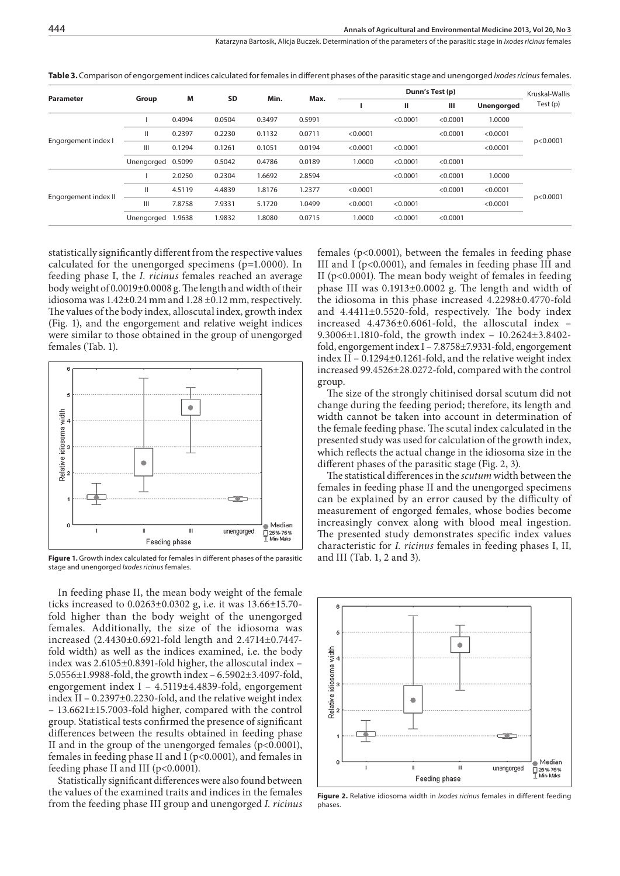|                      | Group             | M      | SD     | Min.   | Max.   |          | Kruskal-Wallis |          |                   |          |
|----------------------|-------------------|--------|--------|--------|--------|----------|----------------|----------|-------------------|----------|
| Parameter            |                   |        |        |        |        |          | ш              | ш        | <b>Unengorged</b> | Test (p) |
|                      |                   | 0.4994 | 0.0504 | 0.3497 | 0.5991 |          | < 0.0001       | < 0.0001 | 1.0000            | p<0.0001 |
|                      | Ш                 | 0.2397 | 0.2230 | 0.1132 | 0.0711 | < 0.0001 |                | < 0.0001 | < 0.0001          |          |
| Engorgement index I  | Ш                 | 0.1294 | 0.1261 | 0.1051 | 0.0194 | < 0.0001 | < 0.0001       |          | < 0.0001          |          |
|                      | Unengorged 0.5099 |        | 0.5042 | 0.4786 | 0.0189 | 1.0000   | < 0.0001       | < 0.0001 |                   |          |
| Engorgement index II |                   | 2.0250 | 0.2304 | 1.6692 | 2.8594 |          | < 0.0001       | < 0.0001 | 1.0000            | p<0.0001 |
|                      |                   | 4.5119 | 4.4839 | 1.8176 | 1.2377 | < 0.0001 |                | < 0.0001 | < 0.0001          |          |
|                      | Ш                 | 7.8758 | 7.9331 | 5.1720 | 1.0499 | < 0.0001 | < 0.0001       |          | < 0.0001          |          |
|                      | Unengorged        | 1.9638 | 1.9832 | 1.8080 | 0.0715 | 1.0000   | < 0.0001       | < 0.0001 |                   |          |

**Table 3.** Comparison of engorgement indices calculated for females in different phases of the parasitic stage and unengorged *Ixodes ricinus* females.

statistically significantly different from the respective values calculated for the unengorged specimens (p=1.0000). In feeding phase I, the *I. ricinus* females reached an average body weight of 0.0019±0.0008 g. The length and width of their idiosoma was 1.42±0.24 mm and 1.28 ±0.12 mm, respectively. The values of the body index, alloscutal index, growth index (Fig. 1), and the engorgement and relative weight indices were similar to those obtained in the group of unengorged females (Tab. 1).



**Figure 1.** Growth index calculated for females in different phases of the parasitic and III (Tab. 1, 2 and 3). stage and unengorged *Ixodes ricinus* females.

In feeding phase II, the mean body weight of the female ticks increased to 0.0263±0.0302 g, i.e. it was 13.66±15.70 fold higher than the body weight of the unengorged females. Additionally, the size of the idiosoma was increased (2.4430±0.6921-fold length and 2.4714±0.7447 fold width) as well as the indices examined, i.e. the body index was 2.6105±0.8391-fold higher, the alloscutal index – 5.0556±1.9988-fold, the growth index – 6.5902±3.4097-fold, engorgement index I – 4.5119±4.4839-fold, engorgement index II – 0.2397±0.2230-fold, and the relative weight index – 13.6621±15.7003-fold higher, compared with the control group. Statistical tests confirmed the presence of significant differences between the results obtained in feeding phase II and in the group of the unengorged females (p<0.0001), females in feeding phase II and I ( $p$ <0.0001), and females in feeding phase II and III ( $p<0.0001$ ).

Statistically significant differences were also found between the values of the examined traits and indices in the females from the feeding phase III group and unengorged *I. ricinus*

females (p<0.0001), between the females in feeding phase III and I (p<0.0001), and females in feeding phase III and II ( $p<0.0001$ ). The mean body weight of females in feeding phase III was 0.1913±0.0002 g. The length and width of the idiosoma in this phase increased 4.2298±0.4770-fold and 4.4411±0.5520-fold, respectively. The body index increased 4.4736±0.6061-fold, the alloscutal index – 9.3006±1.1810-fold, the growth index – 10.2624±3.8402 fold, engorgement index I – 7.8758±7.9331-fold, engorgement index II – 0.1294±0.1261-fold, and the relative weight index increased 99.4526±28.0272-fold, compared with the control group.

The size of the strongly chitinised dorsal scutum did not change during the feeding period; therefore, its length and width cannot be taken into account in determination of the female feeding phase. The scutal index calculated in the presented study was used for calculation of the growth index, which reflects the actual change in the idiosoma size in the different phases of the parasitic stage (Fig. 2, 3).

The statistical differences in the *scutum* width between the females in feeding phase II and the unengorged specimens can be explained by an error caused by the difficulty of measurement of engorged females, whose bodies become increasingly convex along with blood meal ingestion. The presented study demonstrates specific index values characteristic for *I. ricinus* females in feeding phases I, II,



**Figure 2.** Relative idiosoma width in *Ixodes ricinus* females in different feeding phases.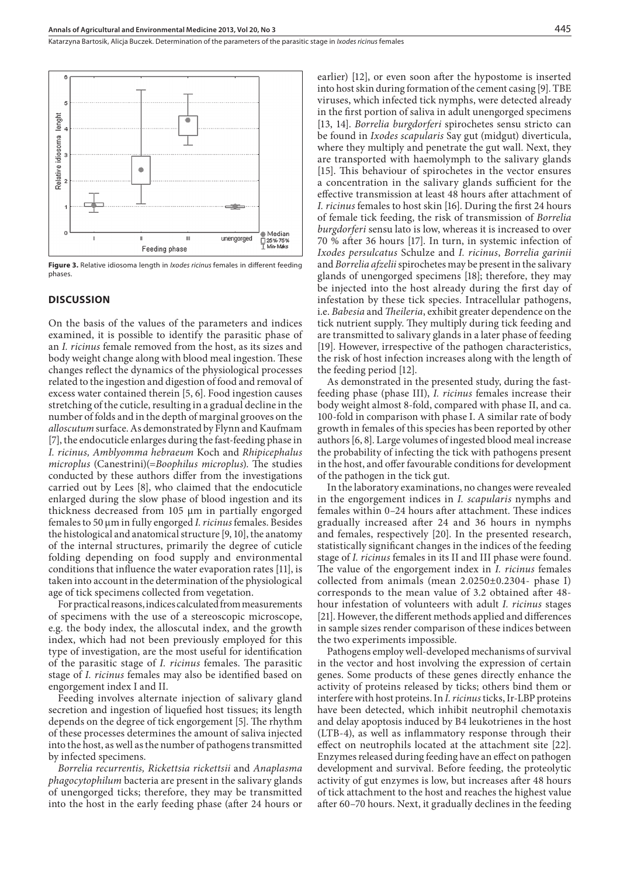Katarzyna Bartosik, Alicja Buczek . Determination of the parameters of the parasitic stage in *Ixodes ricinus* females



**Figure 3.** Relative idiosoma length in *Ixodes ricinus* females in different feeding phases.

#### **DISCUSSION**

On the basis of the values of the parameters and indices examined, it is possible to identify the parasitic phase of an *I. ricinus* female removed from the host, as its sizes and body weight change along with blood meal ingestion. These changes reflect the dynamics of the physiological processes related to the ingestion and digestion of food and removal of excess water contained therein [5, 6]. Food ingestion causes stretching of the cuticle, resulting in a gradual decline in the number of folds and in the depth of marginal grooves on the *alloscutum* surface. As demonstrated by Flynn and Kaufmam [7], the endocuticle enlarges during the fast-feeding phase in *I. ricinus, Amblyomma hebraeum* Koch and *Rhipicephalus microplus* (Canestrini)(=*Boophilus microplus*). The studies conducted by these authors differ from the investigations carried out by Lees [8], who claimed that the endocuticle enlarged during the slow phase of blood ingestion and its thickness decreased from 105 µm in partially engorged females to 50 µm in fully engorged *I. ricinus* females. Besides the histological and anatomical structure [9, 10], the anatomy of the internal structures, primarily the degree of cuticle folding depending on food supply and environmental conditions that influence the water evaporation rates [11], is taken into account in the determination of the physiological age of tick specimens collected from vegetation.

For practical reasons, indices calculated from measurements of specimens with the use of a stereoscopic microscope, e.g. the body index, the alloscutal index, and the growth index, which had not been previously employed for this type of investigation, are the most useful for identification of the parasitic stage of *I. ricinus* females. The parasitic stage of *I. ricinus* females may also be identified based on engorgement index I and II.

Feeding involves alternate injection of salivary gland secretion and ingestion of liquefied host tissues; its length depends on the degree of tick engorgement [5]. The rhythm of these processes determines the amount of saliva injected into the host, as well as the number of pathogens transmitted by infected specimens.

*Borrelia recurrentis, Rickettsia rickettsii* and *Anaplasma phagocytophilum* bacteria are present in the salivary glands of unengorged ticks; therefore, they may be transmitted into the host in the early feeding phase (after 24 hours or earlier) [12], or even soon after the hypostome is inserted into host skin during formation of the cement casing [9]. TBE viruses, which infected tick nymphs, were detected already in the first portion of saliva in adult unengorged specimens [13, 14]. *Borrelia burgdorferi* spirochetes sensu stricto can be found in *Ixodes scapularis* Say gut (midgut) diverticula, where they multiply and penetrate the gut wall. Next, they are transported with haemolymph to the salivary glands [15]. This behaviour of spirochetes in the vector ensures a concentration in the salivary glands sufficient for the effective transmission at least 48 hours after attachment of *I. ricinus* females to host skin [16]. During the first 24 hours of female tick feeding, the risk of transmission of *Borrelia burgdorferi* sensu lato is low, whereas it is increased to over 70 % after 36 hours [17]. In turn, in systemic infection of *Ixodes persulcatus* Schulze and *I. ricinus*, *Borrelia garinii* and *Borrelia afzelii* spirochetes may be present in the salivary glands of unengorged specimens [18]; therefore, they may be injected into the host already during the first day of infestation by these tick species. Intracellular pathogens, i.e. *Babesia* and *Theileria*, exhibit greater dependence on the tick nutrient supply. They multiply during tick feeding and are transmitted to salivary glands in a later phase of feeding [19]. However, irrespective of the pathogen characteristics, the risk of host infection increases along with the length of the feeding period [12].

As demonstrated in the presented study, during the fastfeeding phase (phase III), *I. ricinus* females increase their body weight almost 8-fold, compared with phase II, and ca. 100-fold in comparison with phase I. A similar rate of body growth in females of this species has been reported by other authors [6, 8]. Large volumes of ingested blood meal increase the probability of infecting the tick with pathogens present in the host, and offer favourable conditions for development of the pathogen in the tick gut.

In the laboratory examinations, no changes were revealed in the engorgement indices in *I. scapularis* nymphs and females within 0–24 hours after attachment. These indices gradually increased after 24 and 36 hours in nymphs and females, respectively [20]. In the presented research, statistically significant changes in the indices of the feeding stage of *I. ricinus* females in its II and III phase were found. The value of the engorgement index in *I. ricinus* females collected from animals (mean 2.0250±0.2304- phase I) corresponds to the mean value of 3.2 obtained after 48 hour infestation of volunteers with adult *I. ricinus* stages [21]. However, the different methods applied and differences in sample sizes render comparison of these indices between the two experiments impossible.

Pathogens employ well-developed mechanisms of survival in the vector and host involving the expression of certain genes. Some products of these genes directly enhance the activity of proteins released by ticks; others bind them or interfere with host proteins. In *I. ricinus* ticks, Ir-LBP proteins have been detected, which inhibit neutrophil chemotaxis and delay apoptosis induced by B4 leukotrienes in the host (LTB-4), as well as inflammatory response through their effect on neutrophils located at the attachment site [22]. Enzymes released during feeding have an effect on pathogen development and survival. Before feeding, the proteolytic activity of gut enzymes is low, but increases after 48 hours of tick attachment to the host and reaches the highest value after 60–70 hours. Next, it gradually declines in the feeding